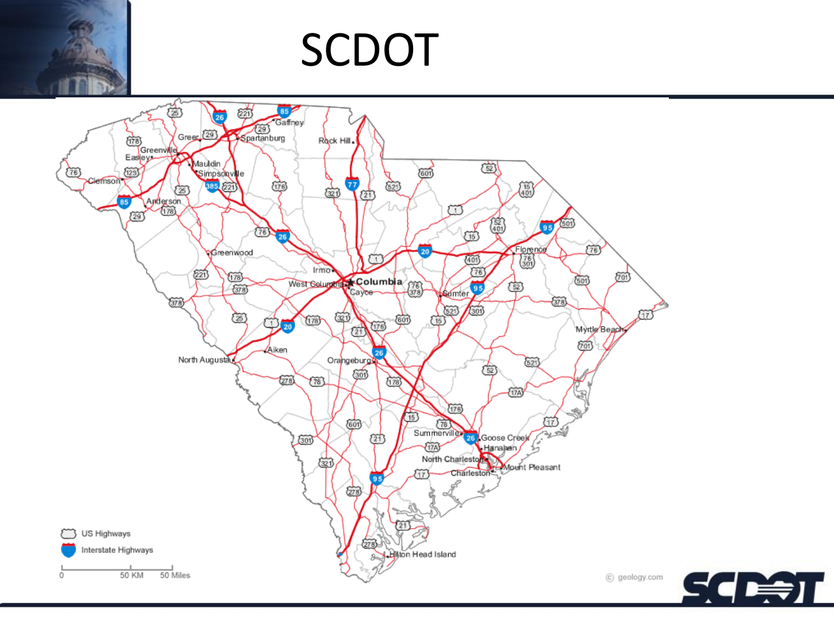### SCDOT



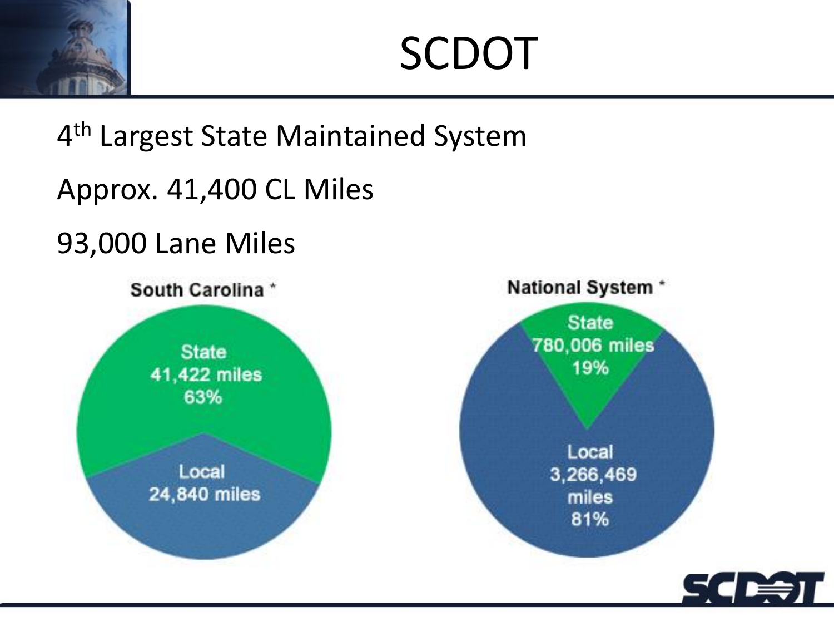SCDOT

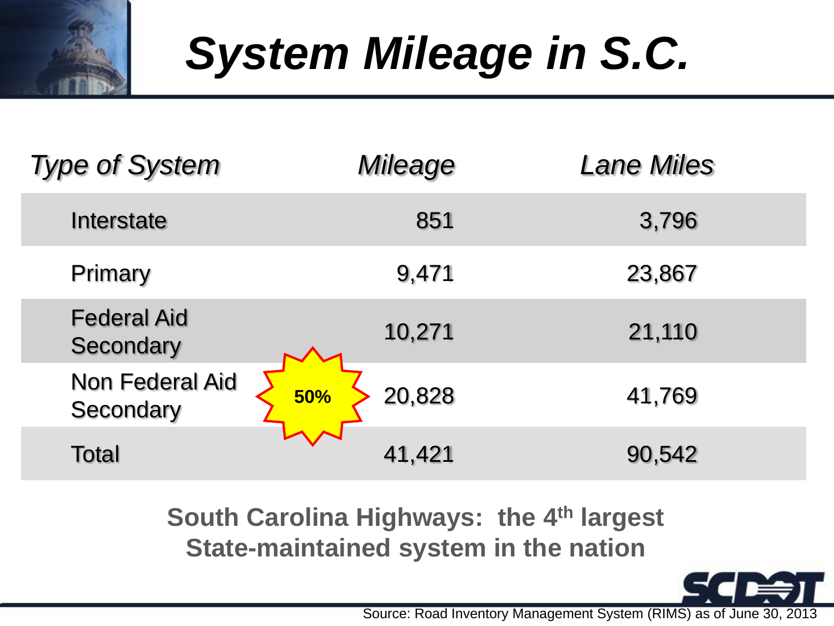# *System Mileage in S.C.*

| <b>Type of System</b>               | Mileage              | <b>Lane Miles</b> |
|-------------------------------------|----------------------|-------------------|
| Interstate                          | 851                  | 3,796             |
| Primary                             | 9,471                | 23,867            |
| <b>Federal Aid</b><br>Secondary     | 10,271               | 21,110            |
| <b>Non Federal Aid</b><br>Secondary | 20,828<br><b>50%</b> | 41,769            |
| Total                               | 41,421               | 90,542            |

**South Carolina Highways: the 4th largest State-maintained system in the nation**

Source: Road Inventory Management System (RIMS) as of June 30, 2013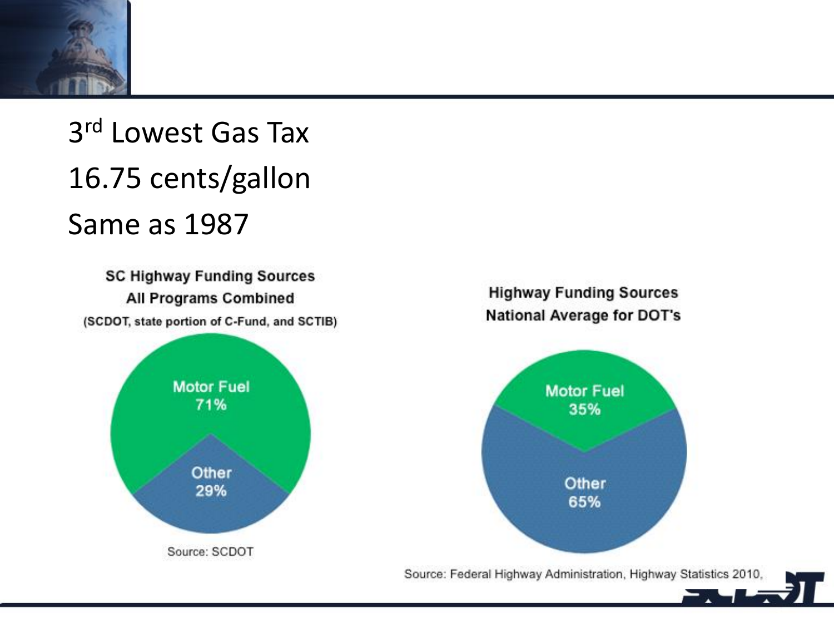### 3 rd Lowest Gas Tax 16.75 cents/gallon Same as 1987

**SC Highway Funding Sources** All Programs Combined (SCDOT, state portion of C-Fund, and SCTIB)



### **Highway Funding Sources National Average for DOT's**

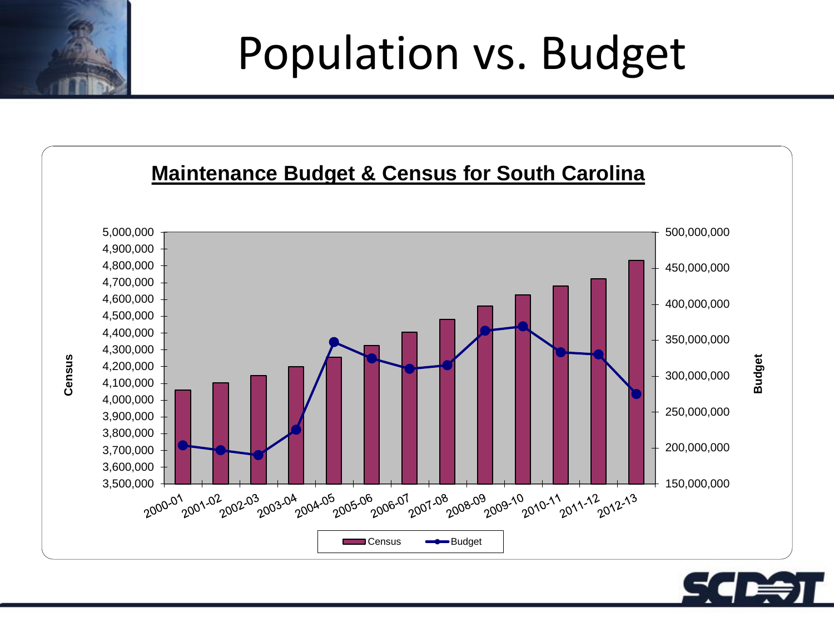### Population vs. Budget



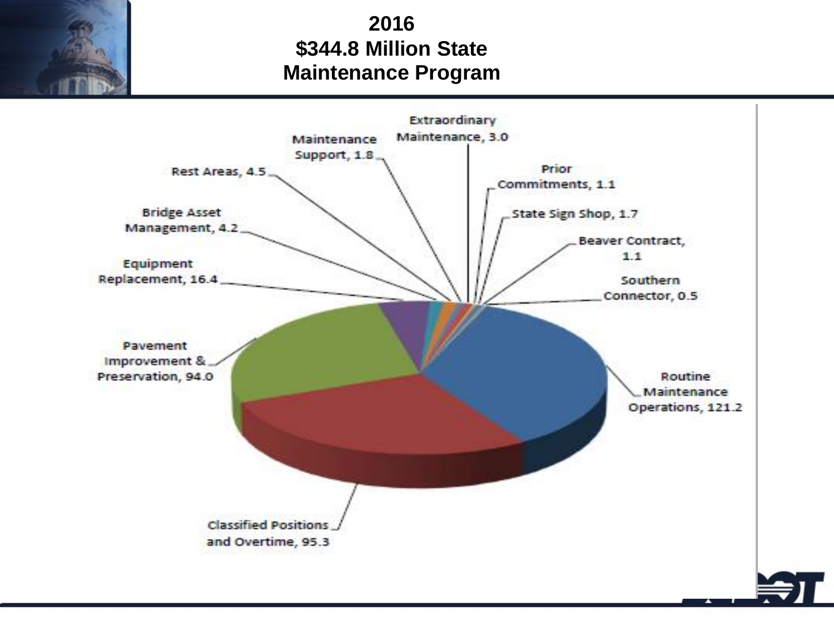### **2016 \$344.8 Million State Maintenance Program**

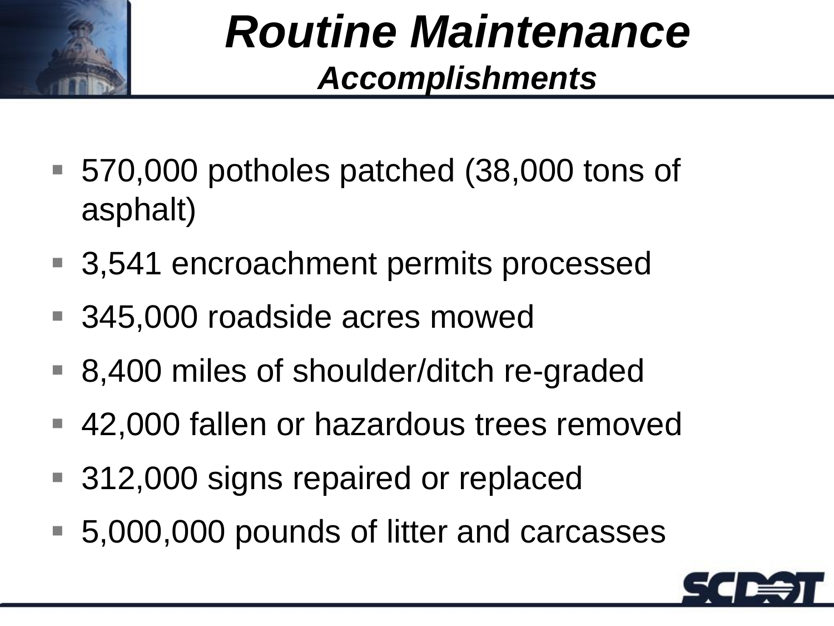

### *Routine Maintenance Accomplishments*

- 570,000 potholes patched (38,000 tons of asphalt)
- 3,541 encroachment permits processed
- 345,000 roadside acres mowed
- 8,400 miles of shoulder/ditch re-graded
- 42,000 fallen or hazardous trees removed
- 312,000 signs repaired or replaced
- 5,000,000 pounds of litter and carcasses

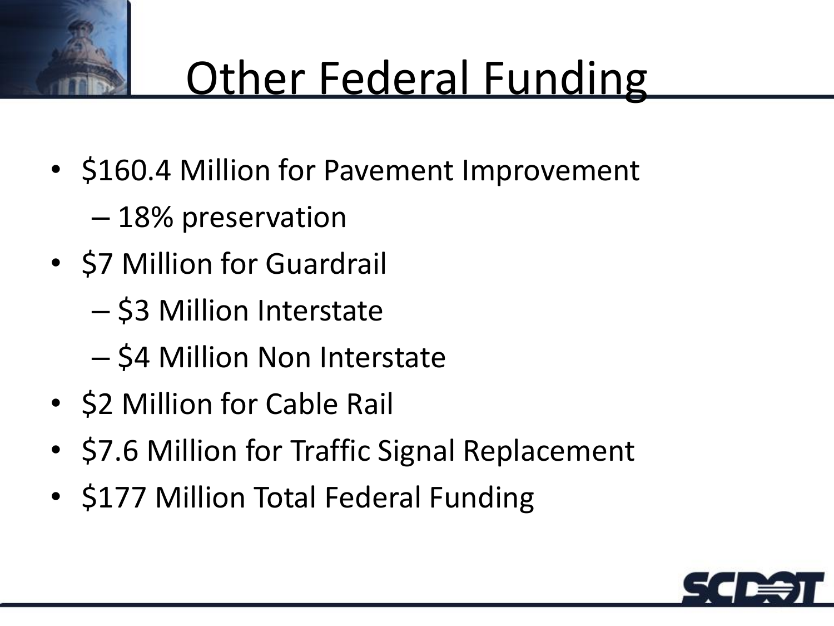## **Other Federal Funding**

- \$160.4 Million for Pavement Improvement
	- 18% preservation
- \$7 Million for Guardrail
	- \$3 Million Interstate
	- \$4 Million Non Interstate
- \$2 Million for Cable Rail
- \$7.6 Million for Traffic Signal Replacement
- \$177 Million Total Federal Funding

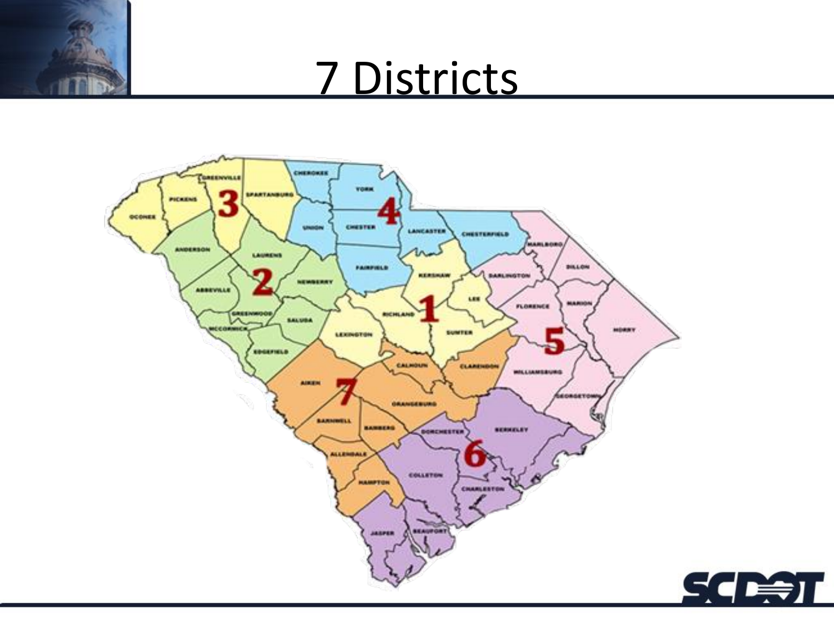### 7 Districts

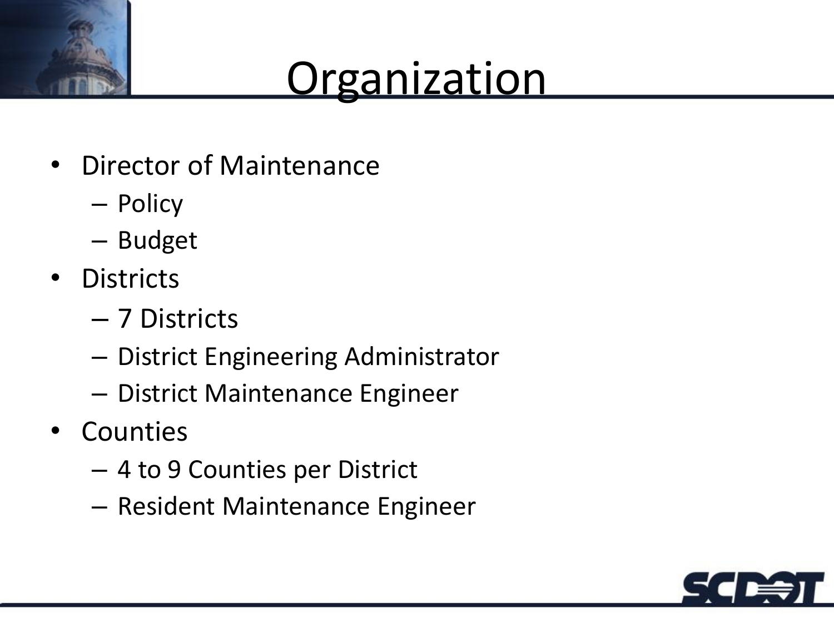## **Organization**

- Director of Maintenance
	- Policy
	- Budget
- Districts
	- 7 Districts
	- District Engineering Administrator
	- District Maintenance Engineer
- Counties
	- 4 to 9 Counties per District
	- Resident Maintenance Engineer

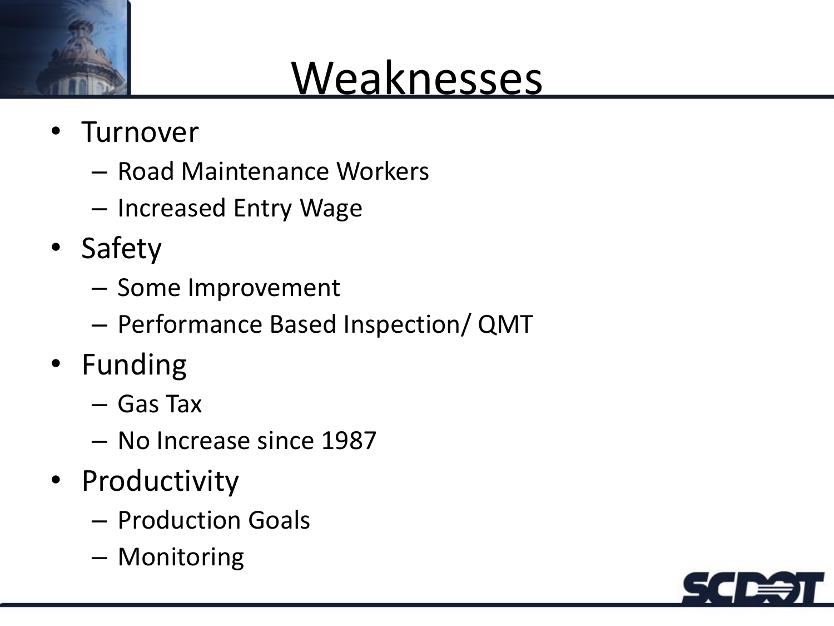

### **Weaknesses**

- Turnover
	- Road Maintenance Workers
	- Increased Entry Wage
- Safety
	- Some Improvement
	- Performance Based Inspection/ QMT
- Funding
	- Gas Tax
	- No Increase since 1987
- Productivity
	- Production Goals
	- Monitoring